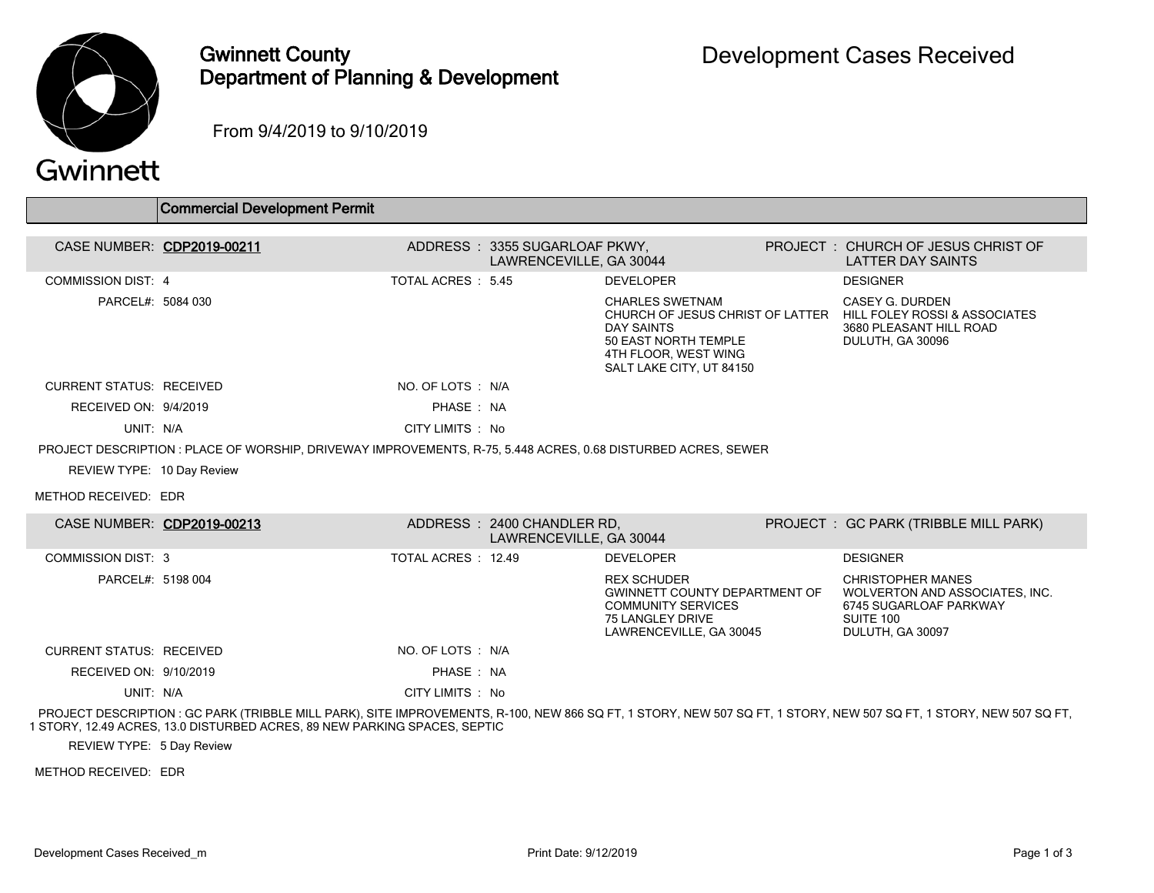

## Gwinnett County Department of Planning & Development

From 9/4/2019 to 9/10/2019

## Gwinnett

|                                                                                                               | <b>Commercial Development Permit</b> |                    |                                                          |                                                                                                                                               |  |                                                                                                                                  |  |  |
|---------------------------------------------------------------------------------------------------------------|--------------------------------------|--------------------|----------------------------------------------------------|-----------------------------------------------------------------------------------------------------------------------------------------------|--|----------------------------------------------------------------------------------------------------------------------------------|--|--|
| CASE NUMBER: CDP2019-00211                                                                                    |                                      |                    | ADDRESS: 3355 SUGARLOAF PKWY,<br>LAWRENCEVILLE, GA 30044 |                                                                                                                                               |  | PROJECT: CHURCH OF JESUS CHRIST OF<br>LATTER DAY SAINTS                                                                          |  |  |
| <b>COMMISSION DIST: 4</b>                                                                                     |                                      | TOTAL ACRES : 5.45 |                                                          | <b>DEVELOPER</b>                                                                                                                              |  | <b>DESIGNER</b>                                                                                                                  |  |  |
| PARCEL#: 5084 030                                                                                             |                                      |                    |                                                          | <b>CHARLES SWETNAM</b><br><b>DAY SAINTS</b><br>50 EAST NORTH TEMPLE<br>4TH FLOOR, WEST WING<br>SALT LAKE CITY, UT 84150                       |  | CASEY G. DURDEN<br>CHURCH OF JESUS CHRIST OF LATTER HILL FOLEY ROSSI & ASSOCIATES<br>3680 PLEASANT HILL ROAD<br>DULUTH, GA 30096 |  |  |
| <b>CURRENT STATUS: RECEIVED</b>                                                                               |                                      | NO. OF LOTS : N/A  |                                                          |                                                                                                                                               |  |                                                                                                                                  |  |  |
| RECEIVED ON: 9/4/2019                                                                                         |                                      | PHASE: NA          |                                                          |                                                                                                                                               |  |                                                                                                                                  |  |  |
| UNIT: N/A                                                                                                     |                                      | CITY LIMITS : No   |                                                          |                                                                                                                                               |  |                                                                                                                                  |  |  |
| PROJECT DESCRIPTION : PLACE OF WORSHIP, DRIVEWAY IMPROVEMENTS, R-75, 5.448 ACRES, 0.68 DISTURBED ACRES, SEWER |                                      |                    |                                                          |                                                                                                                                               |  |                                                                                                                                  |  |  |
| REVIEW TYPE: 10 Day Review                                                                                    |                                      |                    |                                                          |                                                                                                                                               |  |                                                                                                                                  |  |  |
| METHOD RECEIVED: EDR                                                                                          |                                      |                    |                                                          |                                                                                                                                               |  |                                                                                                                                  |  |  |
| CASE NUMBER: CDP2019-00213                                                                                    |                                      |                    | ADDRESS: 2400 CHANDLER RD.<br>LAWRENCEVILLE, GA 30044    |                                                                                                                                               |  | PROJECT: GC PARK (TRIBBLE MILL PARK)                                                                                             |  |  |
| <b>COMMISSION DIST: 3</b>                                                                                     |                                      | TOTAL ACRES: 12.49 |                                                          | <b>DEVELOPER</b>                                                                                                                              |  | <b>DESIGNER</b>                                                                                                                  |  |  |
| PARCEL#: 5198 004                                                                                             |                                      |                    |                                                          | <b>REX SCHUDER</b><br><b>GWINNETT COUNTY DEPARTMENT OF</b><br><b>COMMUNITY SERVICES</b><br><b>75 LANGLEY DRIVE</b><br>LAWRENCEVILLE, GA 30045 |  | <b>CHRISTOPHER MANES</b><br>WOLVERTON AND ASSOCIATES, INC.<br>6745 SUGARLOAF PARKWAY<br>SUITE 100<br>DULUTH, GA 30097            |  |  |
| <b>CURRENT STATUS: RECEIVED</b>                                                                               |                                      | NO. OF LOTS : N/A  |                                                          |                                                                                                                                               |  |                                                                                                                                  |  |  |
| RECEIVED ON: 9/10/2019                                                                                        |                                      | PHASE: NA          |                                                          |                                                                                                                                               |  |                                                                                                                                  |  |  |
| UNIT: N/A                                                                                                     |                                      | CITY LIMITS : No   |                                                          |                                                                                                                                               |  |                                                                                                                                  |  |  |

 PROJECT DESCRIPTION : GC PARK (TRIBBLE MILL PARK), SITE IMPROVEMENTS, R-100, NEW 866 SQ FT, 1 STORY, NEW 507 SQ FT, 1 STORY, NEW 507 SQ FT, 1 STORY, NEW 507 SQ FT, 1 STORY, 12.49 ACRES, 13.0 DISTURBED ACRES, 89 NEW PARKING SPACES, SEPTIC

REVIEW TYPE: 5 Day Review

METHOD RECEIVED: EDR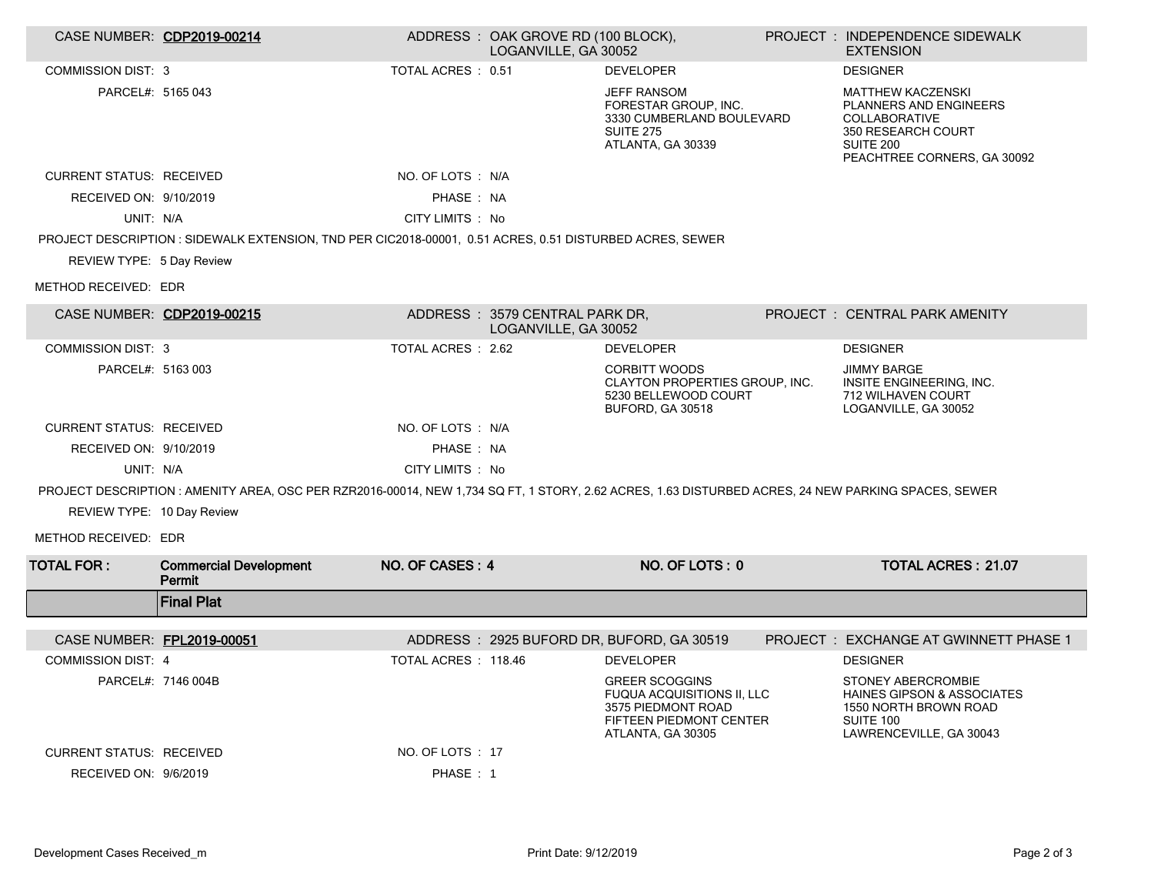|                                 | CASE NUMBER: CDP2019-00214                                                                                                                         |                      | ADDRESS: OAK GROVE RD (100 BLOCK),<br>LOGANVILLE, GA 30052 |                                                                                                                  | PROJECT : INDEPENDENCE SIDEWALK<br><b>EXTENSION</b>                                                                                   |
|---------------------------------|----------------------------------------------------------------------------------------------------------------------------------------------------|----------------------|------------------------------------------------------------|------------------------------------------------------------------------------------------------------------------|---------------------------------------------------------------------------------------------------------------------------------------|
| <b>COMMISSION DIST: 3</b>       |                                                                                                                                                    | TOTAL ACRES : 0.51   |                                                            | <b>DEVELOPER</b>                                                                                                 | <b>DESIGNER</b>                                                                                                                       |
| PARCEL#: 5165 043               |                                                                                                                                                    |                      |                                                            | <b>JEFF RANSOM</b><br>FORESTAR GROUP, INC.<br>3330 CUMBERLAND BOULEVARD<br><b>SUITE 275</b><br>ATLANTA, GA 30339 | <b>MATTHEW KACZENSKI</b><br>PLANNERS AND ENGINEERS<br>COLLABORATIVE<br>350 RESEARCH COURT<br>SUITE 200<br>PEACHTREE CORNERS, GA 30092 |
| <b>CURRENT STATUS: RECEIVED</b> |                                                                                                                                                    | NO. OF LOTS : N/A    |                                                            |                                                                                                                  |                                                                                                                                       |
| RECEIVED ON: 9/10/2019          |                                                                                                                                                    | PHASE: NA            |                                                            |                                                                                                                  |                                                                                                                                       |
| UNIT: N/A                       |                                                                                                                                                    | CITY LIMITS : No     |                                                            |                                                                                                                  |                                                                                                                                       |
|                                 | PROJECT DESCRIPTION : SIDEWALK EXTENSION, TND PER CIC2018-00001, 0.51 ACRES, 0.51 DISTURBED ACRES, SEWER                                           |                      |                                                            |                                                                                                                  |                                                                                                                                       |
| REVIEW TYPE: 5 Day Review       |                                                                                                                                                    |                      |                                                            |                                                                                                                  |                                                                                                                                       |
| METHOD RECEIVED: EDR            |                                                                                                                                                    |                      |                                                            |                                                                                                                  |                                                                                                                                       |
|                                 | CASE NUMBER: CDP2019-00215                                                                                                                         |                      | ADDRESS: 3579 CENTRAL PARK DR,<br>LOGANVILLE, GA 30052     |                                                                                                                  | PROJECT : CENTRAL PARK AMENITY                                                                                                        |
| <b>COMMISSION DIST: 3</b>       |                                                                                                                                                    | TOTAL ACRES: 2.62    |                                                            | <b>DEVELOPER</b>                                                                                                 | <b>DESIGNER</b>                                                                                                                       |
| PARCEL#: 5163 003               |                                                                                                                                                    |                      |                                                            | <b>CORBITT WOODS</b><br>CLAYTON PROPERTIES GROUP. INC.<br>5230 BELLEWOOD COURT<br>BUFORD, GA 30518               | <b>JIMMY BARGE</b><br>INSITE ENGINEERING. INC.<br>712 WILHAVEN COURT<br>LOGANVILLE, GA 30052                                          |
| <b>CURRENT STATUS: RECEIVED</b> |                                                                                                                                                    | NO. OF LOTS : N/A    |                                                            |                                                                                                                  |                                                                                                                                       |
| RECEIVED ON: 9/10/2019          |                                                                                                                                                    | PHASE: NA            |                                                            |                                                                                                                  |                                                                                                                                       |
| UNIT: N/A                       |                                                                                                                                                    | CITY LIMITS : No     |                                                            |                                                                                                                  |                                                                                                                                       |
|                                 | PROJECT DESCRIPTION: AMENITY AREA, OSC PER RZR2016-00014, NEW 1,734 SQ FT, 1 STORY, 2.62 ACRES, 1.63 DISTURBED ACRES, 24 NEW PARKING SPACES, SEWER |                      |                                                            |                                                                                                                  |                                                                                                                                       |
| REVIEW TYPE: 10 Day Review      |                                                                                                                                                    |                      |                                                            |                                                                                                                  |                                                                                                                                       |
| METHOD RECEIVED: EDR            |                                                                                                                                                    |                      |                                                            |                                                                                                                  |                                                                                                                                       |
| <b>TOTAL FOR:</b>               | <b>Commercial Development</b><br>Permit                                                                                                            | NO. OF CASES: 4      |                                                            | NO. OF LOTS: 0                                                                                                   | <b>TOTAL ACRES: 21.07</b>                                                                                                             |
|                                 | <b>Final Plat</b>                                                                                                                                  |                      |                                                            |                                                                                                                  |                                                                                                                                       |
| CASE NUMBER: FPL2019-00051      |                                                                                                                                                    |                      |                                                            | ADDRESS: 2925 BUFORD DR, BUFORD, GA 30519                                                                        | PROJECT : EXCHANGE AT GWINNETT PHASE 1                                                                                                |
| <b>COMMISSION DIST: 4</b>       |                                                                                                                                                    | TOTAL ACRES : 118.46 |                                                            | <b>DEVELOPER</b>                                                                                                 | <b>DESIGNER</b>                                                                                                                       |
|                                 | PARCEL#: 7146 004B                                                                                                                                 |                      |                                                            | GREER SCOGGINS                                                                                                   | STONEY ABERCROMBIE                                                                                                                    |
|                                 |                                                                                                                                                    |                      |                                                            | FUQUA ACQUISITIONS II, LLC<br>3575 PIEDMONT ROAD<br>FIFTEEN PIEDMONT CENTER<br>ATLANTA, GA 30305                 | <b>HAINES GIPSON &amp; ASSOCIATES</b><br>1550 NORTH BROWN ROAD<br>SUITE 100<br>LAWRENCEVILLE, GA 30043                                |
| <b>CURRENT STATUS: RECEIVED</b> |                                                                                                                                                    | NO. OF LOTS : 17     |                                                            |                                                                                                                  |                                                                                                                                       |
| RECEIVED ON: 9/6/2019           |                                                                                                                                                    | PHASE: 1             |                                                            |                                                                                                                  |                                                                                                                                       |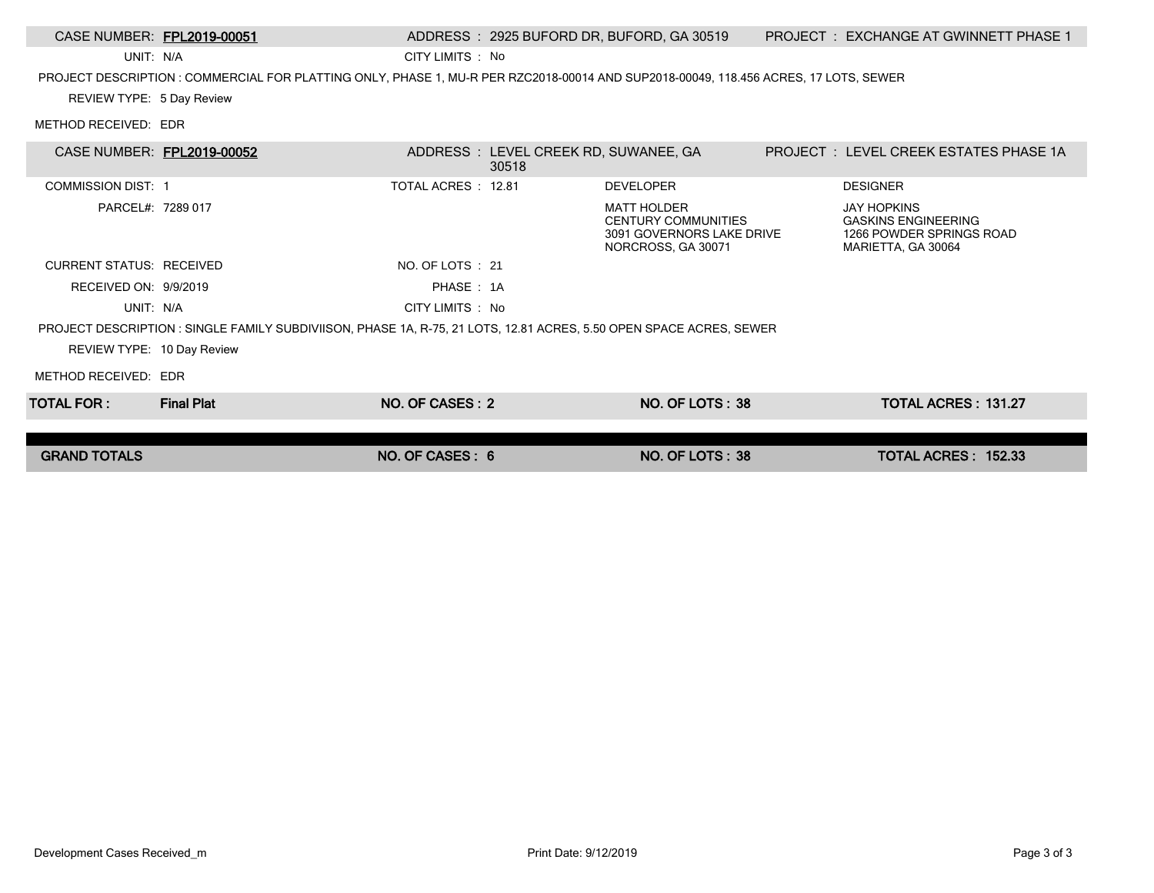| CASE NUMBER: FPL2019-00051                                                                                         |                                                                                                                                      |                    |                                                | ADDRESS: 2925 BUFORD DR, BUFORD, GA 30519                                                           |  | <b>PROJECT : EXCHANGE AT GWINNETT PHASE 1</b>                                                      |  |  |
|--------------------------------------------------------------------------------------------------------------------|--------------------------------------------------------------------------------------------------------------------------------------|--------------------|------------------------------------------------|-----------------------------------------------------------------------------------------------------|--|----------------------------------------------------------------------------------------------------|--|--|
| UNIT: N/A                                                                                                          |                                                                                                                                      | CITY LIMITS : No   |                                                |                                                                                                     |  |                                                                                                    |  |  |
|                                                                                                                    | PROJECT DESCRIPTION : COMMERCIAL FOR PLATTING ONLY, PHASE 1, MU-R PER RZC2018-00014 AND SUP2018-00049, 118.456 ACRES, 17 LOTS, SEWER |                    |                                                |                                                                                                     |  |                                                                                                    |  |  |
| REVIEW TYPE: 5 Day Review                                                                                          |                                                                                                                                      |                    |                                                |                                                                                                     |  |                                                                                                    |  |  |
| METHOD RECEIVED: EDR                                                                                               |                                                                                                                                      |                    |                                                |                                                                                                     |  |                                                                                                    |  |  |
|                                                                                                                    |                                                                                                                                      |                    |                                                |                                                                                                     |  |                                                                                                    |  |  |
| CASE NUMBER: FPL2019-00052                                                                                         |                                                                                                                                      |                    | ADDRESS : LEVEL CREEK RD, SUWANEE, GA<br>30518 |                                                                                                     |  | <b>PROJECT : LEVEL CREEK ESTATES PHASE 1A</b>                                                      |  |  |
| <b>COMMISSION DIST: 1</b>                                                                                          |                                                                                                                                      | TOTAL ACRES: 12.81 |                                                | <b>DEVELOPER</b>                                                                                    |  | <b>DESIGNER</b>                                                                                    |  |  |
| PARCEL#: 7289 017                                                                                                  |                                                                                                                                      |                    |                                                | <b>MATT HOLDER</b><br><b>CENTURY COMMUNITIES</b><br>3091 GOVERNORS LAKE DRIVE<br>NORCROSS, GA 30071 |  | <b>JAY HOPKINS</b><br><b>GASKINS ENGINEERING</b><br>1266 POWDER SPRINGS ROAD<br>MARIETTA, GA 30064 |  |  |
| <b>CURRENT STATUS. RECEIVED</b>                                                                                    |                                                                                                                                      | NO. OF LOTS : 21   |                                                |                                                                                                     |  |                                                                                                    |  |  |
| RECEIVED ON: 9/9/2019                                                                                              |                                                                                                                                      | PHASE: 1A          |                                                |                                                                                                     |  |                                                                                                    |  |  |
| UNIT: N/A                                                                                                          |                                                                                                                                      | CITY LIMITS : No   |                                                |                                                                                                     |  |                                                                                                    |  |  |
| PROJECT DESCRIPTION: SINGLE FAMILY SUBDIVIISON, PHASE 1A, R-75, 21 LOTS, 12.81 ACRES, 5.50 OPEN SPACE ACRES, SEWER |                                                                                                                                      |                    |                                                |                                                                                                     |  |                                                                                                    |  |  |
| REVIEW TYPE: 10 Day Review                                                                                         |                                                                                                                                      |                    |                                                |                                                                                                     |  |                                                                                                    |  |  |
| METHOD RECEIVED: EDR                                                                                               |                                                                                                                                      |                    |                                                |                                                                                                     |  |                                                                                                    |  |  |
| <b>TOTAL FOR:</b>                                                                                                  | <b>Final Plat</b>                                                                                                                    | NO. OF CASES: 2    |                                                | NO. OF LOTS: 38                                                                                     |  | <b>TOTAL ACRES: 131.27</b>                                                                         |  |  |
|                                                                                                                    |                                                                                                                                      |                    |                                                |                                                                                                     |  |                                                                                                    |  |  |
| <b>GRAND TOTALS</b>                                                                                                |                                                                                                                                      | NO. OF CASES: 6    |                                                | NO. OF LOTS: 38                                                                                     |  | TOTAL ACRES: 152.33                                                                                |  |  |